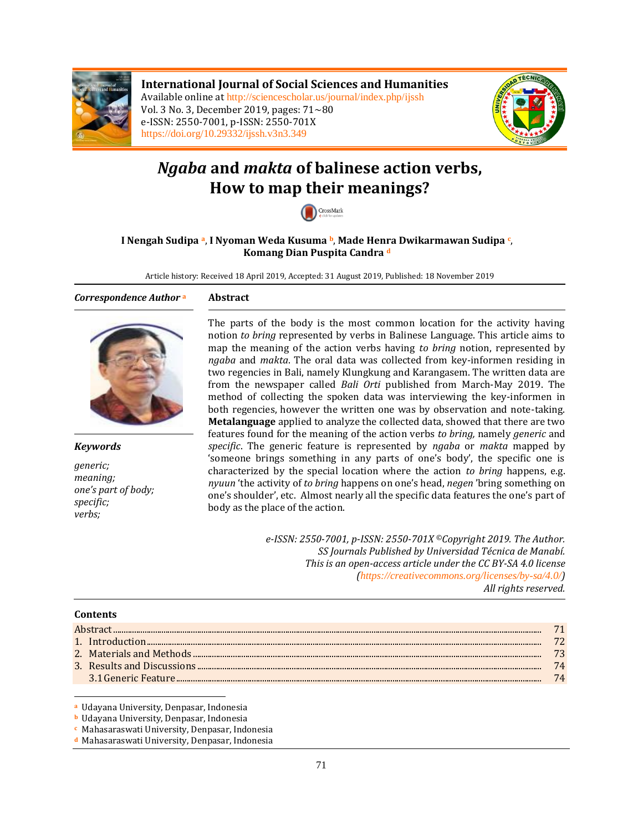

**International Journal of Social Sciences and Humanities** Available online at <http://sciencescholar.us/journal/index.php/ijssh> Vol. 3 No. 3, December 2019, pages: 71~80 e-ISSN: 2550-7001, p-ISSN: 2550-701X <https://doi.org/10.29332/ijssh.v3n3.349>



# *Ngaba* **and** *makta* **of balinese action verbs, How to map their meanings?**



#### **I Nengah Sudipa <sup>a</sup>**, **I Nyoman Weda Kusuma b**, **Made Henra Dwikarmawan Sudipa <sup>c</sup>** , **Komang Dian Puspita Candra <sup>d</sup>**

Article history: Received 18 April 2019, Accepted: 31 August 2019, Published: 18 November 2019

#### *Correspondence Author* **<sup>a</sup> Abstract**



*Keywords*

*generic; meaning; one's part of body; specific; verbs;*

The parts of the body is the most common location for the activity having notion *to bring* represented by verbs in Balinese Language. This article aims to map the meaning of the action verbs having *to bring* notion, represented by *ngaba* and *makta*. The oral data was collected from key-informen residing in two regencies in Bali, namely Klungkung and Karangasem. The written data are from the newspaper called *Bali Orti* published from March-May 2019. The method of collecting the spoken data was interviewing the key-informen in both regencies, however the written one was by observation and note-taking. **Metalanguage** applied to analyze the collected data, showed that there are two features found for the meaning of the action verbs *to bring,* namely *generic* and *specific*. The generic feature is represented by *ngaba* or *makta* mapped by 'someone brings something in any parts of one's body', the specific one is characterized by the special location where the action *to bring* happens, e.g. *nyuun* 'the activity of *to bring* happens on one's head, *negen* 'bring something on one's shoulder', etc. Almost nearly all the specific data features the one's part of body as the place of the action.

> *e-ISSN: 2550-7001, p-ISSN: 2550-701X ©Copyright 2019. The Author. SS Journals Published by Universidad Técnica de Manabí. This is an open-access article under the CC BY-SA 4.0 license (<https://creativecommons.org/licenses/by-sa/4.0/>) All rights reserved.*

#### **Contents**

-

|  | -73 |  |  |  |
|--|-----|--|--|--|
|  | 74  |  |  |  |
|  |     |  |  |  |
|  |     |  |  |  |

**<sup>a</sup>** Udayana University, Denpasar, Indonesia

**<sup>b</sup>** Udayana University, Denpasar, Indonesia

- **<sup>c</sup>** Mahasaraswati University, Denpasar, Indonesia
- **<sup>d</sup>** Mahasaraswati University, Denpasar, Indonesia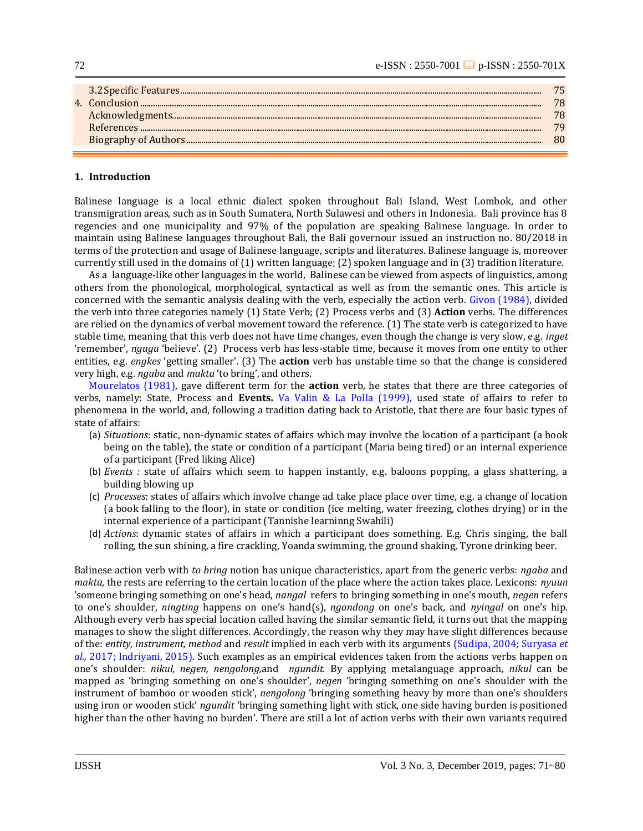|  |  | 75<br>78<br>78<br>79<br>80 |
|--|--|----------------------------|
|--|--|----------------------------|

#### **1. Introduction**

72

Balinese language is a local ethnic dialect spoken throughout Bali Island, West Lombok, and other transmigration areas, such as in South Sumatera, North Sulawesi and others in Indonesia. Bali province has 8 regencies and one municipality and 97% of the population are speaking Balinese language. In order to maintain using Balinese languages throughout Bali, the Bali governour issued an instruction no. 80/2018 in terms of the protection and usage of Balinese language, scripts and literatures. Balinese language is, moreover currently still used in the domains of (1) written language; (2) spoken language and in (3) tradition literature.

As a language-like other languages in the world, Balinese can be viewed from aspects of linguistics, among others from the phonological, morphological, syntactical as well as from the semantic ones. This article is concerned with the semantic analysis dealing with the verb, especially the action verb. [Givon \(1984\),](#page-8-0) divided the verb into three categories namely (1) State Verb; (2) Process verbs and (3) **Action** verbs. The differences are relied on the dynamics of verbal movement toward the reference. (1) The state verb is categorized to have stable time, meaning that this verb does not have time changes, even though the change is very slow, e.g. *inget* 'remember', *ngugu* 'believe'. (2) Process verb has less-stable time, because it moves from one entity to other entities, e.g. *engkes* 'getting smaller'. (3) The **action** verb has unstable time so that the change is considered very high, e.g. *ngaba* and *makta* 'to bring', and others.

[Mourelatos \(1981\),](#page-8-0) gave different term for the **action** verb, he states that there are three categories of verbs, namely: State, Process and **Events.** [Va Valin & La Polla \(1999\),](#page-8-0) used state of affairs to refer to phenomena in the world, and, following a tradition dating back to Aristotle, that there are four basic types of state of affairs:

- (a) *Situations*: static, non-dynamic states of affairs which may involve the location of a participant (a book being on the table), the state or condition of a participant (Maria being tired) or an internal experience of a participant (Fred liking Alice)
- (b) *Events :* state of affairs which seem to happen instantly, e.g. baloons popping, a glass shattering, a building blowing up
- (c) *Processes*: states of affairs which involve change ad take place place over time, e.g. a change of location (a book falling to the floor), in state or condition (ice melting, water freezing, clothes drying) or in the internal experience of a participant (Tannishe learninng Swahili)
- (d) *Actions*: dynamic states of affairs in which a participant does something. E.g. Chris singing, the ball rolling, the sun shining, a fire crackling, Yoanda swimming, the ground shaking, Tyrone drinking beer.

Balinese action verb with *to bring* notion has unique characteristics, apart from the generic verbs: *ngaba* and *makta,* the rests are referring to the certain location of the place where the action takes place. Lexicons: *nyuun* 'someone bringing something on one's head, *nangal* refers to bringing something in one's mouth, *negen* refers to one's shoulder, *ningting* happens on one's hand(s), *ngandong* on one's back, and *nyingal* on one's hip. Although every verb has special location called having the similar semantic field, it turns out that the mapping manages to show the slight differences. Accordingly, the reason why they may have slight differences because of the: *entity, instrument, method* and *result* implied in each verb with its arguments [\(Sudipa, 2004; Suryasa](#page-8-0) *et al.,* [2017; Indriyani, 2015\).](#page-8-0) Such examples as an empirical evidences taken from the actions verbs happen on one's shoulder: *nikul, negen, nengolong,*and *ngundit.* By applying metalanguage approach*, nikul* can be mapped as 'bringing something on one's shoulder'*, negen* 'bringing something on one's shoulder with the instrument of bamboo or wooden stick', *nengolong* 'bringing something heavy by more than one's shoulders using iron or wooden stick' *ngundit* 'bringing something light with stick, one side having burden is positioned higher than the other having no burden'. There are still a lot of action verbs with their own variants required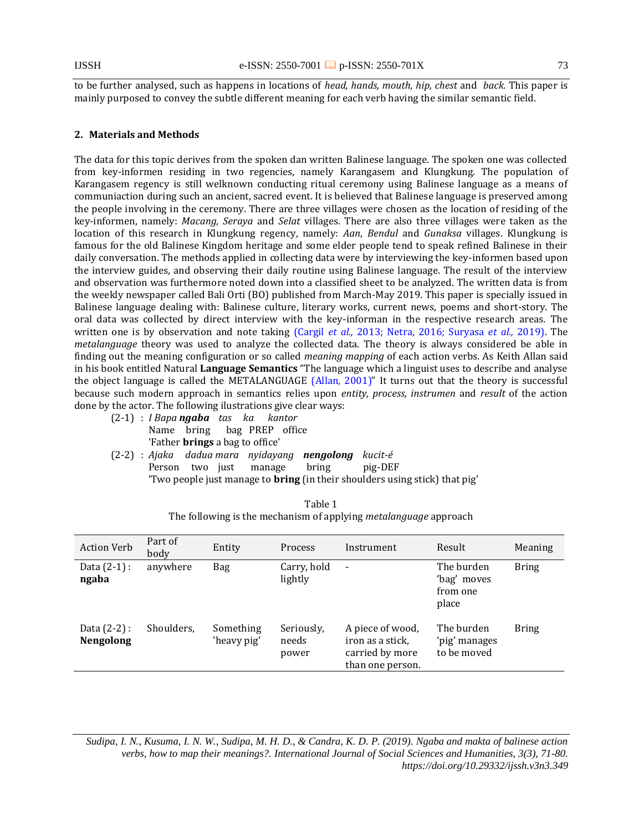to be further analysed, such as happens in locations of *head, hands, mouth, hip, chest* and *back.* This paper is mainly purposed to convey the subtle different meaning for each verb having the similar semantic field.

#### **2. Materials and Methods**

The data for this topic derives from the spoken dan written Balinese language. The spoken one was collected from key-informen residing in two regencies, namely Karangasem and Klungkung. The population of Karangasem regency is still welknown conducting ritual ceremony using Balinese language as a means of communiaction during such an ancient, sacred event. It is believed that Balinese language is preserved among the people involving in the ceremony. There are three villages were chosen as the location of residing of the key-informen, namely: *Macang*, *Seraya* and *Selat* villages. There are also three villages were taken as the location of this research in Klungkung regency, namely: *Aan*, *Bendul* and *Gunaksa* villages. Klungkung is famous for the old Balinese Kingdom heritage and some elder people tend to speak refined Balinese in their daily conversation. The methods applied in collecting data were by interviewing the key-informen based upon the interview guides, and observing their daily routine using Balinese language. The result of the interview and observation was furthermore noted down into a classified sheet to be analyzed. The written data is from the weekly newspaper called Bali Orti (BO) published from March-May 2019. This paper is specially issued in Balinese language dealing with: Balinese culture, literary works, current news, poems and short-story. The oral data was collected by direct interview with the key-informan in the respective research areas. The written one is by observation and note taking (Cargil *et al.,* [2013; Netra, 2016; Suryasa](#page-8-0) *et al.,* 2019). The *metalanguage* theory was used to analyze the collected data. The theory is always considered be able in finding out the meaning configuration or so called *meaning mapping* of each action verbs. As Keith Allan said in his book entitled Natural **Language Semantics** "The language which a linguist uses to describe and analyse the object language is called the METALANGUAGE [\(Allan, 2001\)](#page-8-0)" It turns out that the theory is successful because such modern approach in semantics relies upon *entity, process, instrumen* and *result* of the action done by the actor. The following ilustrations give clear ways:

- (2-1) : *I Bapa ngaba tas ka kantor* Name bring bag PREP office 'Father **brings** a bag to office'
- (2-2) : *Ajaka dadua mara nyidayang nengolong kucit-é* Person two just manage bring pig-DEF 'Two people just manage to **bring** (in their shoulders using stick) that pig'

| <b>Action Verb</b>                 | Part of<br>body | Entity                   | <b>Process</b>               | Instrument                                                                  | Result                                         | Meaning      |
|------------------------------------|-----------------|--------------------------|------------------------------|-----------------------------------------------------------------------------|------------------------------------------------|--------------|
| Data $(2-1)$ :<br>ngaba            | anywhere        | Bag                      | Carry, hold<br>lightly       | $\qquad \qquad \blacksquare$                                                | The burden<br>'bag' moves<br>from one<br>place | <b>Bring</b> |
| Data $(2-2)$ :<br><b>Nengolong</b> | Shoulders,      | Something<br>'heavy pig' | Seriously,<br>needs<br>power | A piece of wood,<br>iron as a stick,<br>carried by more<br>than one person. | The burden<br>'pig' manages<br>to be moved     | <b>Bring</b> |

| Table 1                                                                 |
|-------------------------------------------------------------------------|
| The following is the mechanism of applying <i>metalanguage</i> approach |

*Sudipa, I. N., Kusuma, I. N. W., Sudipa, M. H. D., & Candra, K. D. P. (2019). Ngaba and makta of balinese action verbs, how to map their meanings?. International Journal of Social Sciences and Humanities, 3(3), 71-80. https://doi.org/10.29332/ijssh.v3n3.349*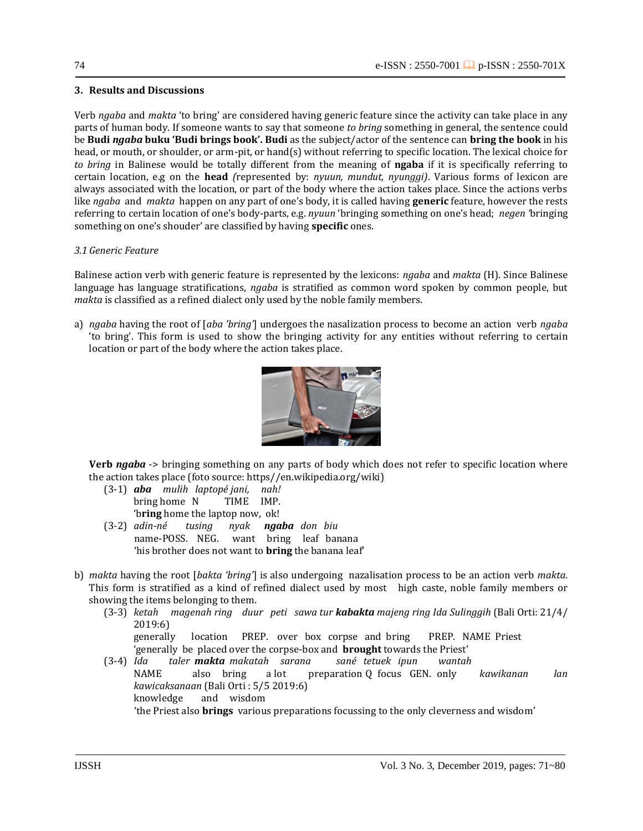#### **3. Results and Discussions**

Verb *ngaba* and *makta* 'to bring' are considered having generic feature since the activity can take place in any parts of human body. If someone wants to say that someone *to bring* something in general, the sentence could be **Budi** *ngaba* **buku 'Budi brings book'. Budi** as the subject/actor of the sentence can **bring the book** in his head, or mouth, or shoulder, or arm-pit, or hand(s) without referring to specific location. The lexical choice for *to bring* in Balinese would be totally different from the meaning of **ngaba** if it is specifically referring to certain location, e.g on the **head** *(*represented by: *nyuun, mundut, nyunggi)*. Various forms of lexicon are always associated with the location, or part of the body where the action takes place. Since the actions verbs like *ngaba* and *makta* happen on any part of one's body, it is called having **generic** feature, however the rests referring to certain location of one's body-parts, e.g. *nyuun* 'bringing something on one's head; *negen '*bringing something on one's shouder' are classified by having **specific** ones.

#### *3.1 Generic Feature*

Balinese action verb with generic feature is represented by the lexicons: *ngaba* and *makta* (H). Since Balinese language has language stratifications, *ngaba* is stratified as common word spoken by common people, but *makta* is classified as a refined dialect only used by the noble family members.

a) *ngaba* having the root of [*aba 'bring'*] undergoes the nasalization process to become an action verb *ngaba* 'to bring'. This form is used to show the bringing activity for any entities without referring to certain location or part of the body where the action takes place.



**Verb** *ngaba* -> bringing something on any parts of body which does not refer to specific location where the action takes place (foto source: https//en.wikipedia.org/wiki)

- (3-1) *aba mulih laptopé jani, nah!* bring home N TIME IMP. 'b**ring** home the laptop now, ok!
- (3-2) *adin-né tusing nyak ngaba don biu* name-POSS. NEG. want bring leaf banana 'his brother does not want to **bring** the banana leaf'
- b) *makta* having the root [*bakta 'bring'*] is also undergoing nazalisation process to be an action verb *makta.* This form is stratified as a kind of refined dialect used by most high caste, noble family members or showing the items belonging to them.
	- (3-3) *ketah magenah ring duur peti sawa tur kabakta majeng ring Ida Sulinggih* (Bali Orti: 21/4/ 2019:6) generally location PREP. over box corpse and bring PREP. NAME Priest 'generally be placed over the corpse-box and **brought** towards the Priest'
	- (3-4) *Ida taler makta makatah sarana sané tetuek ipun wantah* NAME also bring a lot preparation Q focus GEN. only *kawikanan lan kawicaksanaan* (Bali Orti : 5/5 2019:6) knowledge and wisdom 'the Priest also **brings** various preparations focussing to the only cleverness and wisdom'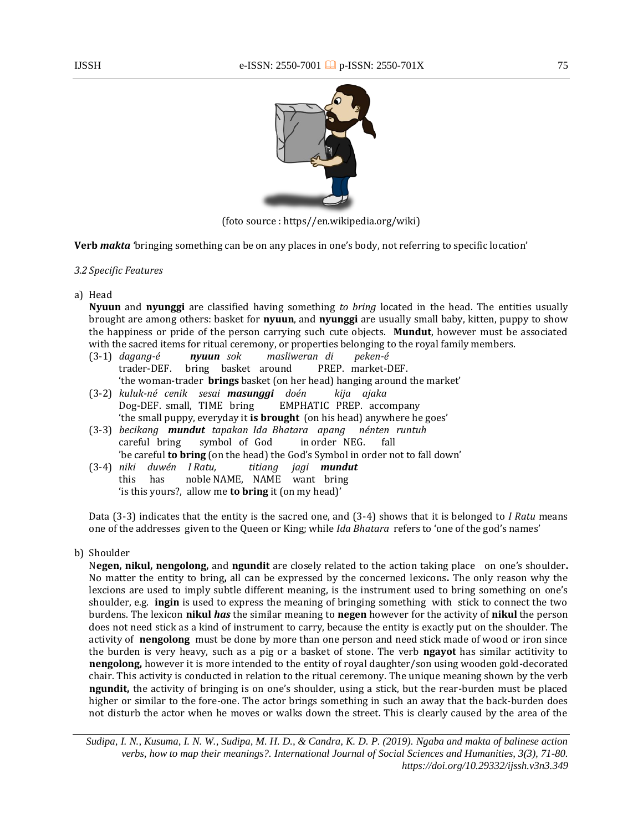

(foto source : https//en.wikipedia.org/wiki)

**Verb** *makta '*bringing something can be on any places in one's body, not referring to specific location'

#### *3.2 Specific Features*

a) Head

**Nyuun** and **nyunggi** are classified having something *to bring* located in the head. The entities usually brought are among others: basket for **nyuun**, and **nyunggi** are usually small baby, kitten, puppy to show the happiness or pride of the person carrying such cute objects. **Mundut**, however must be associated with the sacred items for ritual ceremony, or properties belonging to the royal family members.

- (3-1) *dagang-é nyuun sok masliweran di peken-é* trader-DEF. bring basket around PREP. market-DEF. 'the woman-trader **brings** basket (on her head) hanging around the market'
- (3-2) *kuluk-né cenik sesai masunggi doén kija ajaka* EMPHATIC PREP. accompany 'the small puppy, everyday it **is brought** (on his head) anywhere he goes'
- (3-3) *becikang mundut tapakan Ida Bhatara apang nénten runtuh* careful bring symbol of God in order NEG. fall 'be careful **to bring** (on the head) the God's Symbol in order not to fall down'
- (3-4) *niki duwén I Ratu, titiang jagi mundut* this has noble NAME, NAME want bring 'is this yours?, allow me **to bring** it (on my head)'

Data (3-3) indicates that the entity is the sacred one, and (3-4) shows that it is belonged to *I Ratu* means one of the addresses given to the Queen or King; while *Ida Bhatara* refers to 'one of the god's names'

b) Shoulder

N**egen, nikul, nengolong,** and **ngundit** are closely related to the action taking place on one's shoulder**.**  No matter the entity to bring**,** all can be expressed by the concerned lexicons**.** The only reason why the lexcions are used to imply subtle different meaning, is the instrument used to bring something on one's shoulder, e.g. **ingin** is used to express the meaning of bringing something with stick to connect the two burdens. The lexicon **nikul** *has* the similar meaning to **negen** however for the activity of **nikul** the person does not need stick as a kind of instrument to carry, because the entity is exactly put on the shoulder. The activity of **nengolong** must be done by more than one person and need stick made of wood or iron since the burden is very heavy, such as a pig or a basket of stone. The verb **ngayot** has similar actitivity to **nengolong,** however it is more intended to the entity of royal daughter/son using wooden gold-decorated chair. This activity is conducted in relation to the ritual ceremony. The unique meaning shown by the verb **ngundit,** the activity of bringing is on one's shoulder, using a stick, but the rear-burden must be placed higher or similar to the fore-one. The actor brings something in such an away that the back-burden does not disturb the actor when he moves or walks down the street. This is clearly caused by the area of the

*Sudipa, I. N., Kusuma, I. N. W., Sudipa, M. H. D., & Candra, K. D. P. (2019). Ngaba and makta of balinese action verbs, how to map their meanings?. International Journal of Social Sciences and Humanities, 3(3), 71-80. https://doi.org/10.29332/ijssh.v3n3.349*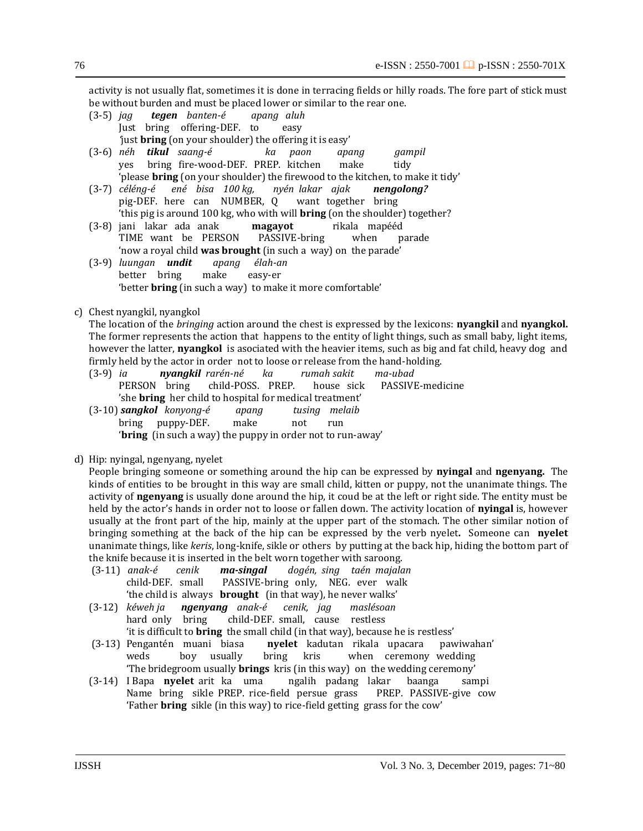activity is not usually flat, sometimes it is done in terracing fields or hilly roads. The fore part of stick must be without burden and must be placed lower or similar to the rear one.

- (3-5) *jag tegen banten-é apang aluh* Just bring offering-DEF. to easy *'*just **bring** (on your shoulder) the offering it is easy'
- (3-6) *néh tikul saang-é ka paon apang gampil* yes bring fire-wood-DEF. PREP. kitchen make tidy 'please **bring** (on your shoulder) the firewood to the kitchen, to make it tidy'
- (3-7) *céléng-é ené bisa 100 kg, nyén lakar ajak nengolong?* pig-DEF. here can NUMBER, Q want together bring 'this pig is around 100 kg, who with will **bring** (on the shoulder) together?
- (3-8) jani lakar ada anak **magayot** rikala mapééd TIME want be PERSON PASSIVE-bring when parade 'now a royal child **was brought** (in such a way) on the parade'
- (3-9) *luungan undit apang élah-an* better bring make easy-er 'better **bring** (in such a way) to make it more comfortable'
- c) Chest nyangkil, nyangkol

The location of the *bringing* action around the chest is expressed by the lexicons: **nyangkil** and **nyangkol.**  The former represents the action that happens to the entity of light things, such as small baby, light items, however the latter, **nyangkol** is asociated with the heavier items, such as big and fat child, heavy dog and

- firmly held by the actor in order not to loose or release from the hand-holding.<br>(3-9) *ia nyangkil rarén-né* ka rumah sakit ma-ubad (3-9) *ia nyangkil rarén-né ka rumah sakit ma-ubad* PERSON bring child-POSS. PREP. house sick PASSIVE-medicine 'she **bring** her child to hospital for medical treatment' (3-10) *sangkol konyong-é apang tusing melaib* bring puppy-DEF. make not run
	- '**bring** (in such a way) the puppy in order not to run-away'
- 
- d) Hip: nyingal, ngenyang, nyelet

People bringing someone or something around the hip can be expressed by **nyingal** and **ngenyang.** The kinds of entities to be brought in this way are small child, kitten or puppy, not the unanimate things. The activity of **ngenyang** is usually done around the hip, it coud be at the left or right side. The entity must be held by the actor's hands in order not to loose or fallen down. The activity location of **nyingal** is, however usually at the front part of the hip, mainly at the upper part of the stomach. The other similar notion of bringing something at the back of the hip can be expressed by the verb nyelet**.** Someone can **nyelet** unanimate things, like *keris*, long-knife, sikle or others by putting at the back hip, hiding the bottom part of the knife because it is inserted in the belt worn together with saroong.

- (3-11) *anak-é cenik ma-singal dogén, sing taén majalan*  child-DEF. small PASSIVE-bring only, NEG. ever walk 'the child is always **brought** (in that way), he never walks'
- (3-12) *kéweh ja ngenyang anak-é cenik, jag maslésoan*  hard only bring child-DEF. small, cause restless 'it is difficult to **bring** the small child (in that way), because he is restless'
- (3-13) Pengantén muani biasa **nyelet** kadutan rikala upacara pawiwahan' weds boy usually bring kris when ceremony wedding 'The bridegroom usually **brings** kris (in this way) on the wedding ceremony'
- (3-14) I Bapa **nyelet** arit ka uma ngalih padang lakar baanga sampi Name bring sikle PREP. rice-field persue grass PREP. PASSIVE-give cow 'Father **bring** sikle (in this way) to rice-field getting grass for the cow'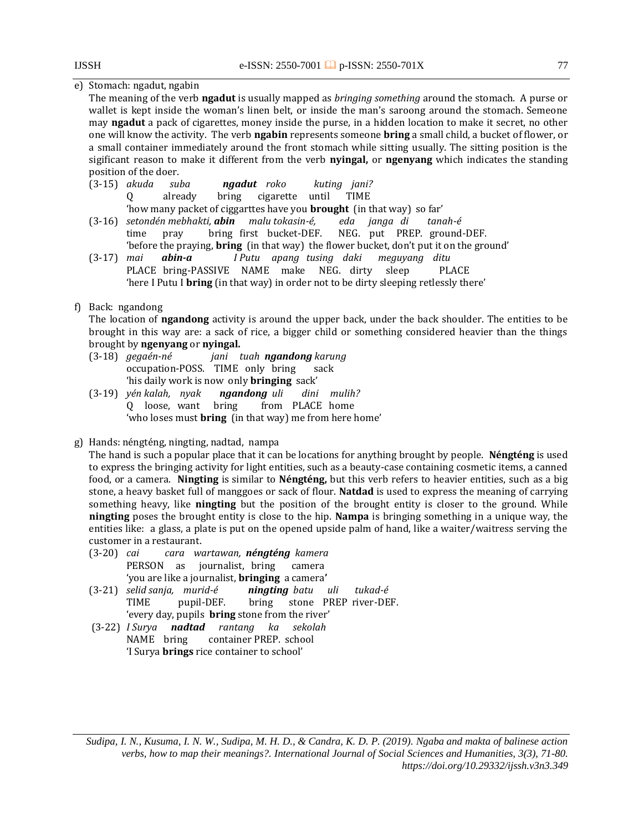### e) Stomach: ngadut, ngabin

The meaning of the verb **ngadut** is usually mapped as *bringing something* around the stomach. A purse or wallet is kept inside the woman's linen belt, or inside the man's saroong around the stomach. Semeone may **ngadut** a pack of cigarettes, money inside the purse, in a hidden location to make it secret, no other one will know the activity. The verb **ngabin** represents someone **bring** a small child, a bucket of flower, or a small container immediately around the front stomach while sitting usually. The sitting position is the sigificant reason to make it different from the verb **nyingal,** or **ngenyang** which indicates the standing position of the doer.

(3-15) *akuda suba ngadut roko kuting jani?* Q already bring cigarette until TIME

'how many packet of ciggarttes have you **brought** (in that way) so far'

- (3-16) *setondén mebhakti, abin malu tokasin-é, eda janga di tanah-é* time pray bring first bucket-DEF. NEG. put PREP. ground-DEF. 'before the praying, **bring** (in that way) the flower bucket, don't put it on the ground'
- (3-17) *mai abin-a I Putu apang tusing daki meguyang ditu*  PLACE bring-PASSIVE NAME make NEG. dirty sleep PLACE 'here I Putu I **bring** (in that way) in order not to be dirty sleeping retlessly there'

#### f) Back: ngandong

The location of **ngandong** activity is around the upper back, under the back shoulder. The entities to be brought in this way are: a sack of rice, a bigger child or something considered heavier than the things brought by **ngenyang** or **nyingal.**

- (3-18) *gegaén-né jani tuah ngandong karung* occupation-POSS. TIME only bring sack 'his daily work is now only **bringing** sack'
- (3-19) *yén kalah, nyak ngandong uli dini mulih?* Q loose, want bring from PLACE home 'who loses must **bring** (in that way) me from here home'
- g) Hands: néngténg, ningting, nadtad, nampa

The hand is such a popular place that it can be locations for anything brought by people. **Néngténg** is used to express the bringing activity for light entities, such as a beauty-case containing cosmetic items, a canned food, or a camera. **Ningting** is similar to **Néngténg,** but this verb refers to heavier entities, such as a big stone, a heavy basket full of manggoes or sack of flour. **Natdad** is used to express the meaning of carrying something heavy, like **ningting** but the position of the brought entity is closer to the ground. While **ningting** poses the brought entity is close to the hip. **Nampa** is bringing something in a unique way, the entities like: a glass, a plate is put on the opened upside palm of hand, like a waiter/waitress serving the customer in a restaurant.

- (3-20) *cai cara wartawan, néngténg kamera* PERSON as journalist, bring camera 'you are like a journalist, **bringing** a camera**'**
- (3-21) *selid sanja, murid-é ningting batu uli tukad-é* TIME pupil-DEF. bring stone PREP river-DEF. 'every day, pupils **bring** stone from the river'
- (3-22) *I Surya nadtad rantang ka sekolah*  NAME bring container PREP. school 'I Surya **brings** rice container to school'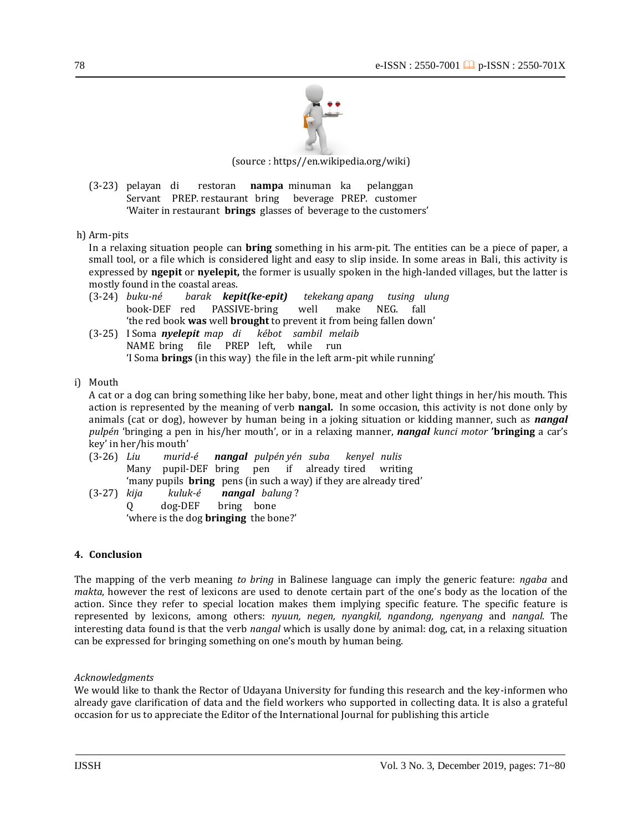

(source : https//en.wikipedia.org/wiki)

(3-23) pelayan di restoran **nampa** minuman ka pelanggan Servant PREP. restaurant bring beverage PREP. customer 'Waiter in restaurant **brings** glasses of beverage to the customers'

h) Arm-pits

In a relaxing situation people can **bring** something in his arm-pit. The entities can be a piece of paper, a small tool, or a file which is considered light and easy to slip inside. In some areas in Bali, this activity is expressed by **ngepit** or **nyelepit,** the former is usually spoken in the high-landed villages, but the latter is mostly found in the coastal areas.

- (3-24) *buku-né barak kepit(ke-epit) tekekang apang tusing ulung* book-DEF red PASSIVE-bring well make NEG. fall 'the red book **was** well **brought** to prevent it from being fallen down'
- (3-25) I Soma *nyelepit map di kébot sambil melaib*  NAME bring file PREP left, while run 'I Soma **brings** (in this way) the file in the left arm-pit while running'
- i) Mouth

A cat or a dog can bring something like her baby, bone, meat and other light things in her/his mouth. This action is represented by the meaning of verb **nangal.** In some occasion, this activity is not done only by animals (cat or dog), however by human being in a joking situation or kidding manner, such as *nangal pulpén* 'bringing a pen in his/her mouth', or in a relaxing manner, *nangal kunci motor* **'bringing** a car's key' in her/his mouth'

- (3-26) *Liu murid-é nangal pulpén yén suba kenyel nulis*  Many pupil-DEF bring pen if already tired writing 'many pupils **bring** pens (in such a way) if they are already tired'
- (3-27) *kija kuluk-é nangal balung* ? Q dog-DEF bring bone 'where is the dog **bringing** the bone?'

#### **4. Conclusion**

The mapping of the verb meaning *to bring* in Balinese language can imply the generic feature: *ngaba* and *makta*, however the rest of lexicons are used to denote certain part of the one's body as the location of the action. Since they refer to special location makes them implying specific feature. The specific feature is represented by lexicons, among others: *nyuun, negen, nyangkil, ngandong, ngenyang* and *nangal*. The interesting data found is that the verb *nangal* which is usally done by animal: dog, cat, in a relaxing situation can be expressed for bringing something on one's mouth by human being.

*Acknowledgments*

We would like to thank the Rector of Udayana University for funding this research and the key-informen who already gave clarification of data and the field workers who supported in collecting data. It is also a grateful occasion for us to appreciate the Editor of the International Journal for publishing this article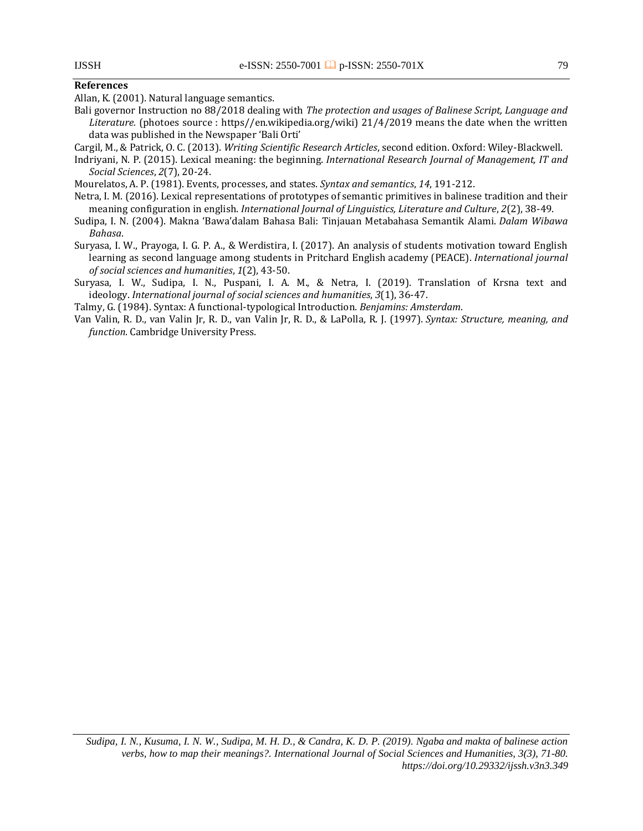#### 79

#### <span id="page-8-0"></span>**References**

Allan, K. (2001). Natural language semantics.

Bali governor Instruction no 88/2018 dealing with *The protection and usages of Balinese Script, Language and Literature.* (photoes source : https//en.wikipedia.org/wiki) 21/4/2019 means the date when the written data was published in the Newspaper 'Bali Orti'

Cargil, M., & Patrick, O. C. (2013). *Writing Scientific Research Articles*, second edition. Oxford: Wiley-Blackwell.

Indriyani, N. P. (2015). Lexical meaning: the beginning. *International Research Journal of Management, IT and Social Sciences*, *2*(7), 20-24.

Mourelatos, A. P. (1981). Events, processes, and states. *Syntax and semantics*, *14*, 191-212.

- Netra, I. M. (2016). Lexical representations of prototypes of semantic primitives in balinese tradition and their meaning configuration in english. *International Journal of Linguistics, Literature and Culture*, *2*(2), 38-49.
- Sudipa, I. N. (2004). Makna 'Bawa'dalam Bahasa Bali: Tinjauan Metabahasa Semantik Alami. *Dalam Wibawa Bahasa*.
- Suryasa, I. W., Prayoga, I. G. P. A., & Werdistira, I. (2017). An analysis of students motivation toward English learning as second language among students in Pritchard English academy (PEACE). *International journal of social sciences and humanities*, *1*(2), 43-50.

Suryasa, I. W., Sudipa, I. N., Puspani, I. A. M., & Netra, I. (2019). Translation of Krsna text and ideology. *International journal of social sciences and humanities*, *3*(1), 36-47.

Talmy, G. (1984). Syntax: A functional-typological Introduction. *Benjamins: Amsterdam*.

Van Valin, R. D., van Valin Jr, R. D., van Valin Jr, R. D., & LaPolla, R. J. (1997). *Syntax: Structure, meaning, and function*. Cambridge University Press.